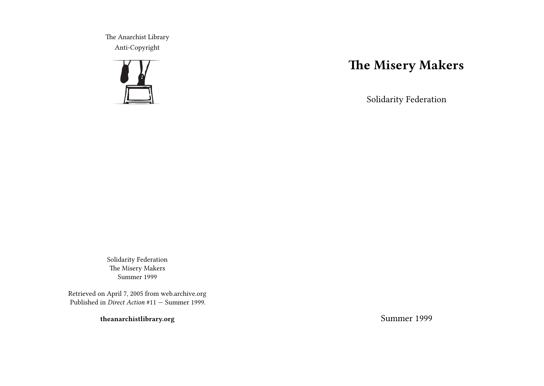The Anarchist Library Anti-Copyright



# **The Misery Makers**

Solidarity Federation

Solidarity Federation The Misery Makers Summer 1999

Retrieved on April 7, 2005 from web.archive.org Published in *Direct Action* #11 — Summer 1999.

**theanarchistlibrary.org**

Summer 1999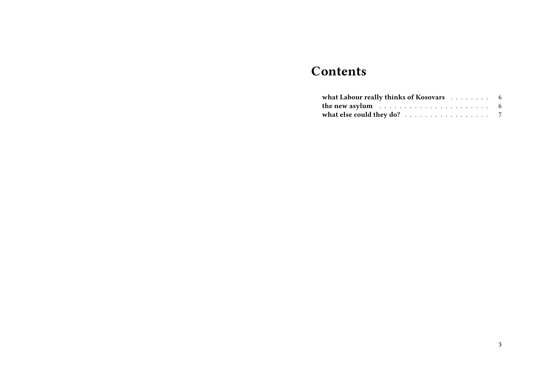## **Contents**

| what Labour really thinks of Kosovars 6                                  |  |
|--------------------------------------------------------------------------|--|
| the new asylum $\ldots \ldots \ldots \ldots \ldots \ldots \ldots \ldots$ |  |
| what else could they do? $\ldots \ldots \ldots \ldots \ldots \ldots$     |  |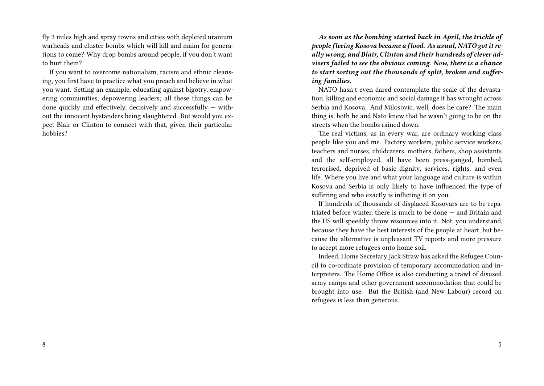fly 3 miles high and spray towns and cities with depleted uranium warheads and cluster bombs which will kill and maim for generations to come? Why drop bombs around people, if you don't want to hurt them?

If you want to overcome nationalism, racism and ethnic cleansing, you first have to practice what you preach and believe in what you want. Setting an example, educating against bigotry, empowering communities, depowering leaders; all these things can be done quickly and effectively, decisively and successfully — without the innocent bystanders being slaughtered. But would you expect Blair or Clinton to connect with that, given their particular hobbies?

*As soon as the bombing started back in April, the trickle of people fleeing Kosova became a flood. As usual, NATO got it really wrong, and Blair, Clinton and their hundreds of clever advisers failed to see the obvious coming. Now, there is a chance to start sorting out the thousands of split, broken and suffering families.*

NATO hasn't even dared contemplate the scale of the devastation, killing and economic and social damage it has wrought across Serbia and Kosova. And Milosovic, well, does he care? The main thing is, both he and Nato knew that he wasn't going to be on the streets when the bombs rained down.

The real victims, as in every war, are ordinary working class people like you and me. Factory workers, public service workers, teachers and nurses, childcarers, mothers, fathers, shop assistants and the self-employed, all have been press-ganged, bombed, terrorised, deprived of basic dignity, services, rights, and even life. Where you live and what your language and culture is within Kosova and Serbia is only likely to have influenced the type of suffering and who exactly is inflicting it on you.

If hundreds of thousands of displaced Kosovars are to be repatriated before winter, there is much to be done — and Britain and the US will speedily throw resources into it. Not, you understand, because they have the best interests of the people at heart, but because the alternative is unpleasant TV reports and more pressure to accept more refugees onto home soil.

Indeed, Home Secretary Jack Straw has asked the Refugee Council to co-ordinate provision of temporary accommodation and interpreters. The Home Office is also conducting a trawl of disused army camps and other government accommodation that could be brought into use. But the British (and New Labour) record on refugees is less than generous.